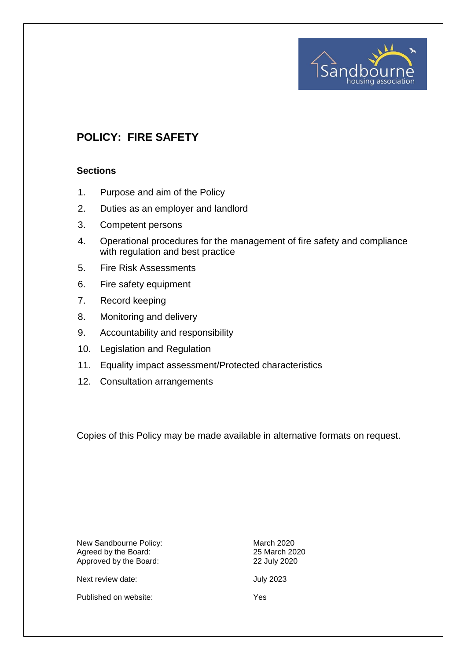# **POLICY: FIRE SAFETY**

#### **Sections**

- 1. Purpose and aim of the Policy
- 2. Duties as an employer and landlord
- 3. Competent persons
- 4. Operational procedures for the management of fire safety and compliance with regulation and best practice

Sar

- 5. Fire Risk Assessments
- 6. Fire safety equipment
- 7. Record keeping
- 8. Monitoring and delivery
- 9. Accountability and responsibility
- 10. Legislation and Regulation
- 11. Equality impact assessment/Protected characteristics
- 12. Consultation arrangements

Copies of this Policy may be made available in alternative formats on request.

New Sandbourne Policy: March 2020 Agreed by the Board: 25 March 2020 Approved by the Board: 22 July 2020

Next review date:  $July 2023$ 

Published on website: Yes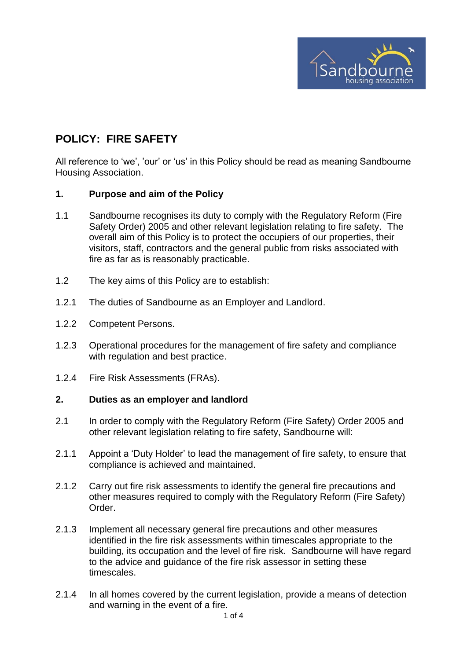

# **POLICY: FIRE SAFETY**

All reference to 'we', 'our' or 'us' in this Policy should be read as meaning Sandbourne Housing Association.

### **1. Purpose and aim of the Policy**

- 1.1 Sandbourne recognises its duty to comply with the Regulatory Reform (Fire Safety Order) 2005 and other relevant legislation relating to fire safety. The overall aim of this Policy is to protect the occupiers of our properties, their visitors, staff, contractors and the general public from risks associated with fire as far as is reasonably practicable.
- 1.2 The key aims of this Policy are to establish:
- 1.2.1 The duties of Sandbourne as an Employer and Landlord.
- 1.2.2 Competent Persons.
- 1.2.3 Operational procedures for the management of fire safety and compliance with regulation and best practice.
- 1.2.4 Fire Risk Assessments (FRAs).

#### **2. Duties as an employer and landlord**

- 2.1 In order to comply with the Regulatory Reform (Fire Safety) Order 2005 and other relevant legislation relating to fire safety, Sandbourne will:
- 2.1.1 Appoint a 'Duty Holder' to lead the management of fire safety, to ensure that compliance is achieved and maintained.
- 2.1.2 Carry out fire risk assessments to identify the general fire precautions and other measures required to comply with the Regulatory Reform (Fire Safety) Order.
- 2.1.3 Implement all necessary general fire precautions and other measures identified in the fire risk assessments within timescales appropriate to the building, its occupation and the level of fire risk. Sandbourne will have regard to the advice and guidance of the fire risk assessor in setting these timescales.
- 2.1.4 In all homes covered by the current legislation, provide a means of detection and warning in the event of a fire.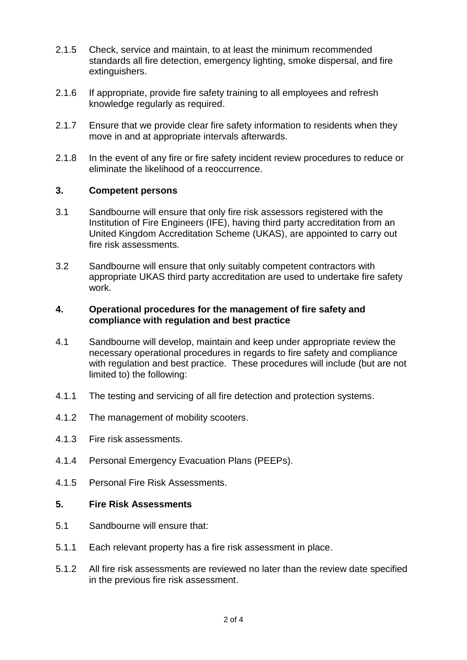- 2.1.5 Check, service and maintain, to at least the minimum recommended standards all fire detection, emergency lighting, smoke dispersal, and fire extinguishers.
- 2.1.6 If appropriate, provide fire safety training to all employees and refresh knowledge regularly as required.
- 2.1.7 Ensure that we provide clear fire safety information to residents when they move in and at appropriate intervals afterwards.
- 2.1.8 In the event of any fire or fire safety incident review procedures to reduce or eliminate the likelihood of a reoccurrence.

# **3. Competent persons**

- 3.1 Sandbourne will ensure that only fire risk assessors registered with the Institution of Fire Engineers (IFE), having third party accreditation from an United Kingdom Accreditation Scheme (UKAS), are appointed to carry out fire risk assessments.
- 3.2 Sandbourne will ensure that only suitably competent contractors with appropriate UKAS third party accreditation are used to undertake fire safety work.

#### **4. Operational procedures for the management of fire safety and compliance with regulation and best practice**

- 4.1 Sandbourne will develop, maintain and keep under appropriate review the necessary operational procedures in regards to fire safety and compliance with regulation and best practice. These procedures will include (but are not limited to) the following:
- 4.1.1 The testing and servicing of all fire detection and protection systems.
- 4.1.2 The management of mobility scooters.
- 4.1.3 Fire risk assessments.
- 4.1.4 Personal Emergency Evacuation Plans (PEEPs).
- 4.1.5 Personal Fire Risk Assessments.

# **5. Fire Risk Assessments**

- 5.1 Sandbourne will ensure that:
- 5.1.1 Each relevant property has a fire risk assessment in place.
- 5.1.2 All fire risk assessments are reviewed no later than the review date specified in the previous fire risk assessment.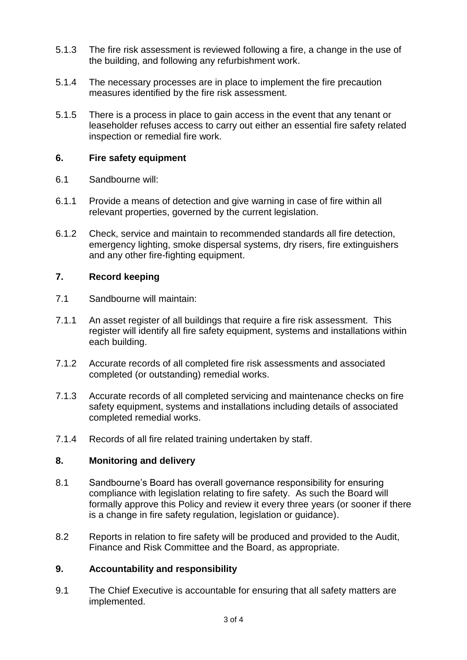- 5.1.3 The fire risk assessment is reviewed following a fire, a change in the use of the building, and following any refurbishment work.
- 5.1.4 The necessary processes are in place to implement the fire precaution measures identified by the fire risk assessment.
- 5.1.5 There is a process in place to gain access in the event that any tenant or leaseholder refuses access to carry out either an essential fire safety related inspection or remedial fire work.

### **6. Fire safety equipment**

- 6.1 Sandbourne will:
- 6.1.1 Provide a means of detection and give warning in case of fire within all relevant properties, governed by the current legislation.
- 6.1.2 Check, service and maintain to recommended standards all fire detection, emergency lighting, smoke dispersal systems, dry risers, fire extinguishers and any other fire-fighting equipment.

# **7. Record keeping**

- 7.1 Sandbourne will maintain:
- 7.1.1 An asset register of all buildings that require a fire risk assessment. This register will identify all fire safety equipment, systems and installations within each building.
- 7.1.2 Accurate records of all completed fire risk assessments and associated completed (or outstanding) remedial works.
- 7.1.3 Accurate records of all completed servicing and maintenance checks on fire safety equipment, systems and installations including details of associated completed remedial works.
- 7.1.4 Records of all fire related training undertaken by staff.

### **8. Monitoring and delivery**

- 8.1 Sandbourne's Board has overall governance responsibility for ensuring compliance with legislation relating to fire safety. As such the Board will formally approve this Policy and review it every three years (or sooner if there is a change in fire safety regulation, legislation or guidance).
- 8.2 Reports in relation to fire safety will be produced and provided to the Audit, Finance and Risk Committee and the Board, as appropriate.

### **9. Accountability and responsibility**

9.1 The Chief Executive is accountable for ensuring that all safety matters are implemented.